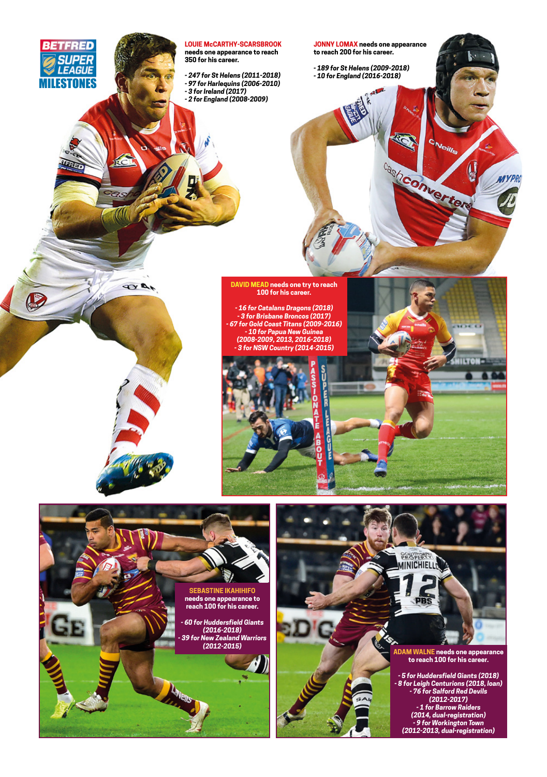